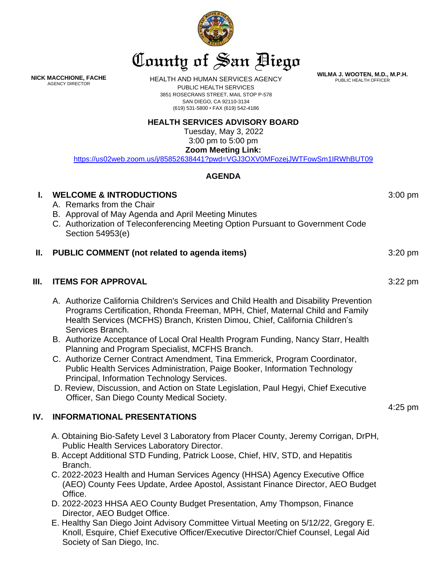

**WILMA J. WOOTEN, M.D., M.P.H.** PUBLIC HEALTH OFFICER

**NICK MACCHIONE, FACHE** AGENCY DIRECTOR

HEALTH AND HUMAN SERVICES AGENCY

PUBLIC HEALTH SERVICES 3851 ROSECRANS STREET, MAIL STOP P-578 SAN DIEGO, CA 92110-3134 (619) 531-5800 • FAX (619) 542-4186

## **HEALTH SERVICES ADVISORY BOARD**

Tuesday, May 3, 2022 3:00 pm to 5:00 pm **Zoom Meeting Link:**

<https://us02web.zoom.us/j/85852638441?pwd=VGJ3OXV0MFozejJWTFowSm1IRWhBUT09>

## **AGENDA**

| $\mathbf{I}$ . | <b>WELCOME &amp; INTRODUCTIONS</b><br>A. Remarks from the Chair<br>B. Approval of May Agenda and April Meeting Minutes<br>C. Authorization of Teleconferencing Meeting Option Pursuant to Government Code<br>Section 54953(e)                                                                                                                                                                                                                                                                                                                                                                                                                                                                                                                                       | $3:00$ pm |
|----------------|---------------------------------------------------------------------------------------------------------------------------------------------------------------------------------------------------------------------------------------------------------------------------------------------------------------------------------------------------------------------------------------------------------------------------------------------------------------------------------------------------------------------------------------------------------------------------------------------------------------------------------------------------------------------------------------------------------------------------------------------------------------------|-----------|
| Ш.             | PUBLIC COMMENT (not related to agenda items)                                                                                                                                                                                                                                                                                                                                                                                                                                                                                                                                                                                                                                                                                                                        | $3:20$ pm |
| Ш.             | <b>ITEMS FOR APPROVAL</b>                                                                                                                                                                                                                                                                                                                                                                                                                                                                                                                                                                                                                                                                                                                                           | $3:22$ pm |
|                | A. Authorize California Children's Services and Child Health and Disability Prevention<br>Programs Certification, Rhonda Freeman, MPH, Chief, Maternal Child and Family<br>Health Services (MCFHS) Branch, Kristen Dimou, Chief, California Children's<br>Services Branch.<br>B. Authorize Acceptance of Local Oral Health Program Funding, Nancy Starr, Health<br>Planning and Program Specialist, MCFHS Branch.<br>C. Authorize Cerner Contract Amendment, Tina Emmerick, Program Coordinator,<br>Public Health Services Administration, Paige Booker, Information Technology<br>Principal, Information Technology Services.<br>D. Review, Discussion, and Action on State Legislation, Paul Hegyi, Chief Executive<br>Officer, San Diego County Medical Society. | $4:25$ pm |
| IV.            | <b>INFORMATIONAL PRESENTATIONS</b>                                                                                                                                                                                                                                                                                                                                                                                                                                                                                                                                                                                                                                                                                                                                  |           |
|                | A. Obtaining Bio-Safety Level 3 Laboratory from Placer County, Jeremy Corrigan, DrPH,<br>Public Health Services Laboratory Director.<br>B. Accept Additional STD Funding, Patrick Loose, Chief, HIV, STD, and Hepatitis<br>Branch.<br>C. 2022-2023 Health and Human Services Agency (HHSA) Agency Executive Office<br>(AEO) County Fees Update, Ardee Apostol, Assistant Finance Director, AEO Budget                                                                                                                                                                                                                                                                                                                                                               |           |

- Office. D. 2022-2023 HHSA AEO County Budget Presentation, Amy Thompson, Finance Director, AEO Budget Office.
- E. Healthy San Diego Joint Advisory Committee Virtual Meeting on 5/12/22, Gregory E. Knoll, Esquire, Chief Executive Officer/Executive Director/Chief Counsel, Legal Aid Society of San Diego, Inc.